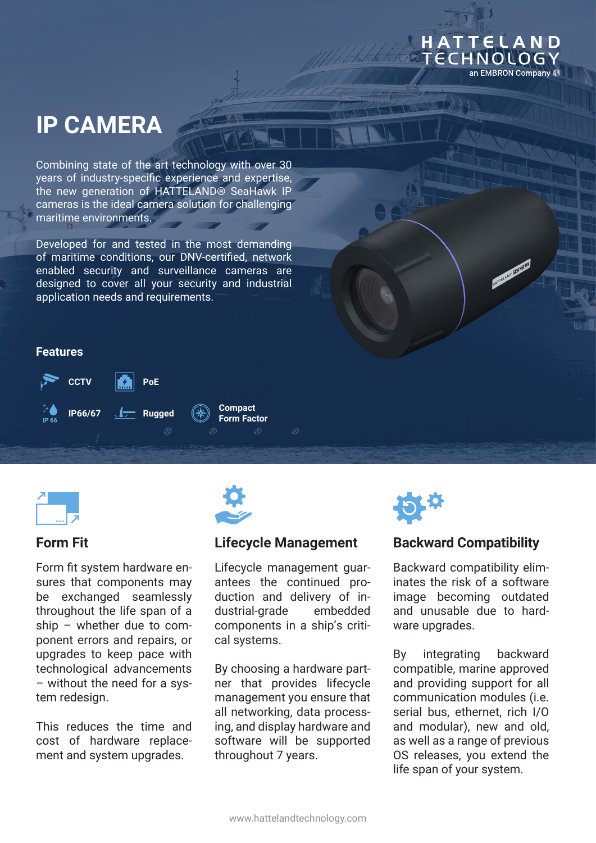# **IP CAMERA**

Combining state of the art technology with over 30 years of industry-specific experience and expertise, the new generation of HATTELAND® SeaHawk IP cameras is the ideal camera solution for challenging maritime environments.

Developed for and tested in the most demanding of maritime conditions, our DNV-certified, network enabled security and surveillance cameras are designed to cover all your security and industrial application needs and requirements.

#### **Features**





# **Form Fit**

Form fit system hardware ensures that components may be exchanged seamlessly throughout the life span of a ship – whether due to component errors and repairs, or upgrades to keep pace with technological advancements – without the need for a system redesign.

This reduces the time and cost of hardware replacement and system upgrades.



# **Lifecycle Management**

Lifecycle management guarantees the continued production and delivery of industrial-grade embedded components in a ship's critical systems.

By choosing a hardware partner that provides lifecycle management you ensure that all networking, data processing, and display hardware and software will be supported throughout 7 years.



# **Backward Compatibility**

HATTELAND ECHNOLOGY

an EMBRON Company #

ATTERNO SERI

Backward compatibility eliminates the risk of a software image becoming outdated and unusable due to hardware upgrades.

By integrating backward compatible, marine approved and providing support for all communication modules (i.e. serial bus, ethernet, rich I/O and modular), new and old, as well as a range of previous OS releases, you extend the life span of your system.